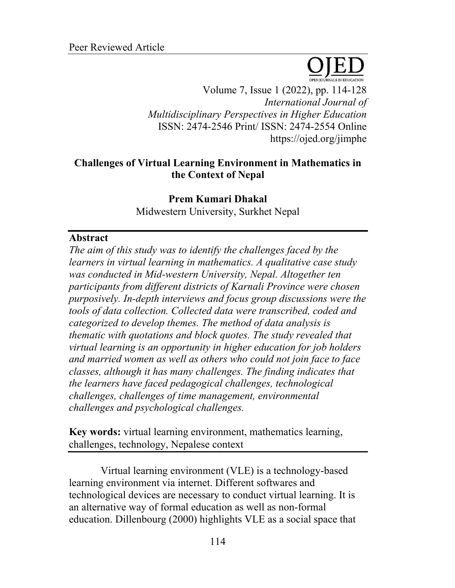

Volume 7, Issue 1 (2022), pp. 114-128 *International Journal of Multidisciplinary Perspectives in Higher Education* ISSN: 2474-2546 Print/ ISSN: 2474-2554 Online https://ojed.org/jimphe

# **Challenges of Virtual Learning Environment in Mathematics in the Context of Nepal**

**Prem Kumari Dhakal** Midwestern University, Surkhet Nepal

## **Abstract**

*The aim of this study was to identify the challenges faced by the learners in virtual learning in mathematics. A qualitative case study was conducted in Mid-western University, Nepal. Altogether ten participants from different districts of Karnali Province were chosen purposively. In-depth interviews and focus group discussions were the tools of data collection. Collected data were transcribed, coded and categorized to develop themes. The method of data analysis is thematic with quotations and block quotes. The study revealed that virtual learning is an opportunity in higher education for job holders and married women as well as others who could not join face to face classes, although it has many challenges. The finding indicates that the learners have faced pedagogical challenges, technological challenges, challenges of time management, environmental challenges and psychological challenges.* 

**Key words:** virtual learning environment, mathematics learning, challenges, technology, Nepalese context

Virtual learning environment (VLE) is a technology-based learning environment via internet. Different softwares and technological devices are necessary to conduct virtual learning. It is an alternative way of formal education as well as non-formal education. Dillenbourg (2000) highlights VLE as a social space that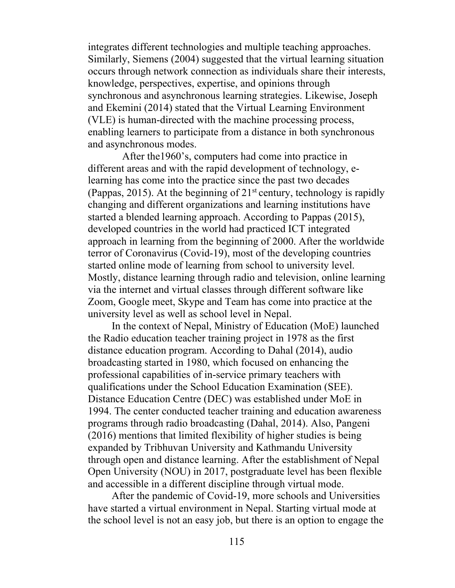integrates different technologies and multiple teaching approaches. Similarly, Siemens (2004) suggested that the virtual learning situation occurs through network connection as individuals share their interests, knowledge, perspectives, expertise, and opinions through synchronous and asynchronous learning strategies. Likewise, Joseph and Ekemini (2014) stated that the Virtual Learning Environment (VLE) is human-directed with the machine processing process, enabling learners to participate from a distance in both synchronous and asynchronous modes.

After the1960's, computers had come into practice in different areas and with the rapid development of technology, elearning has come into the practice since the past two decades (Pappas, 2015). At the beginning of  $21<sup>st</sup>$  century, technology is rapidly changing and different organizations and learning institutions have started a blended learning approach. According to Pappas (2015), developed countries in the world had practiced ICT integrated approach in learning from the beginning of 2000. After the worldwide terror of Coronavirus (Covid-19), most of the developing countries started online mode of learning from school to university level. Mostly, distance learning through radio and television, online learning via the internet and virtual classes through different software like Zoom, Google meet, Skype and Team has come into practice at the university level as well as school level in Nepal.

In the context of Nepal, Ministry of Education (MoE) launched the Radio education teacher training project in 1978 as the first distance education program. According to Dahal (2014), audio broadcasting started in 1980, which focused on enhancing the professional capabilities of in-service primary teachers with qualifications under the School Education Examination (SEE). Distance Education Centre (DEC) was established under MoE in 1994. The center conducted teacher training and education awareness programs through radio broadcasting (Dahal, 2014). Also, Pangeni (2016) mentions that limited flexibility of higher studies is being expanded by Tribhuvan University and Kathmandu University through open and distance learning. After the establishment of Nepal Open University (NOU) in 2017, postgraduate level has been flexible and accessible in a different discipline through virtual mode.

After the pandemic of Covid-19, more schools and Universities have started a virtual environment in Nepal. Starting virtual mode at the school level is not an easy job, but there is an option to engage the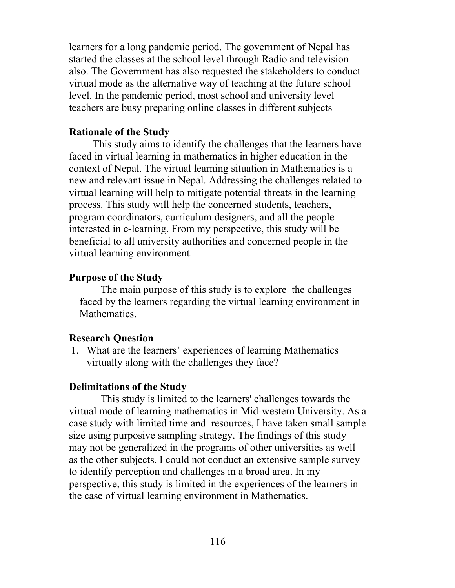learners for a long pandemic period. The government of Nepal has started the classes at the school level through Radio and television also. The Government has also requested the stakeholders to conduct virtual mode as the alternative way of teaching at the future school level. In the pandemic period, most school and university level teachers are busy preparing online classes in different subjects

## **Rationale of the Study**

This study aims to identify the challenges that the learners have faced in virtual learning in mathematics in higher education in the context of Nepal. The virtual learning situation in Mathematics is a new and relevant issue in Nepal. Addressing the challenges related to virtual learning will help to mitigate potential threats in the learning process. This study will help the concerned students, teachers, program coordinators, curriculum designers, and all the people interested in e-learning. From my perspective, this study will be beneficial to all university authorities and concerned people in the virtual learning environment.

## **Purpose of the Study**

The main purpose of this study is to explore the challenges faced by the learners regarding the virtual learning environment in Mathematics.

## **Research Question**

1. What are the learners' experiences of learning Mathematics virtually along with the challenges they face?

## **Delimitations of the Study**

This study is limited to the learners' challenges towards the virtual mode of learning mathematics in Mid-western University. As a case study with limited time and resources, I have taken small sample size using purposive sampling strategy. The findings of this study may not be generalized in the programs of other universities as well as the other subjects. I could not conduct an extensive sample survey to identify perception and challenges in a broad area. In my perspective, this study is limited in the experiences of the learners in the case of virtual learning environment in Mathematics.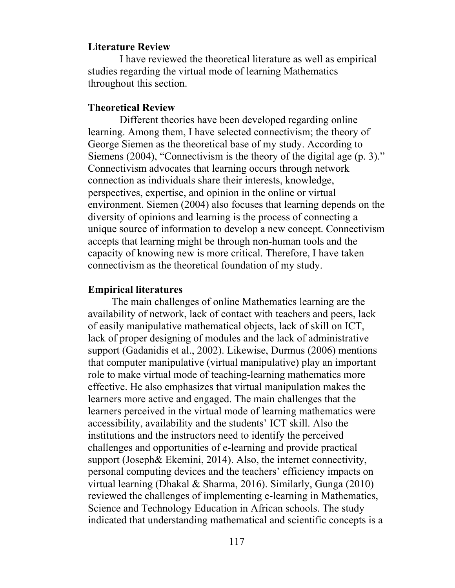#### **Literature Review**

I have reviewed the theoretical literature as well as empirical studies regarding the virtual mode of learning Mathematics throughout this section.

## **Theoretical Review**

Different theories have been developed regarding online learning. Among them, I have selected connectivism; the theory of George Siemen as the theoretical base of my study. According to Siemens (2004), "Connectivism is the theory of the digital age (p. 3)." Connectivism advocates that learning occurs through network connection as individuals share their interests, knowledge, perspectives, expertise, and opinion in the online or virtual environment. Siemen (2004) also focuses that learning depends on the diversity of opinions and learning is the process of connecting a unique source of information to develop a new concept. Connectivism accepts that learning might be through non-human tools and the capacity of knowing new is more critical. Therefore, I have taken connectivism as the theoretical foundation of my study.

#### **Empirical literatures**

The main challenges of online Mathematics learning are the availability of network, lack of contact with teachers and peers, lack of easily manipulative mathematical objects, lack of skill on ICT, lack of proper designing of modules and the lack of administrative support (Gadanidis et al., 2002). Likewise, Durmus (2006) mentions that computer manipulative (virtual manipulative) play an important role to make virtual mode of teaching-learning mathematics more effective. He also emphasizes that virtual manipulation makes the learners more active and engaged. The main challenges that the learners perceived in the virtual mode of learning mathematics were accessibility, availability and the students' ICT skill. Also the institutions and the instructors need to identify the perceived challenges and opportunities of e-learning and provide practical support (Joseph& Ekemini, 2014). Also, the internet connectivity, personal computing devices and the teachers' efficiency impacts on virtual learning (Dhakal & Sharma, 2016). Similarly, Gunga (2010) reviewed the challenges of implementing e-learning in Mathematics, Science and Technology Education in African schools. The study indicated that understanding mathematical and scientific concepts is a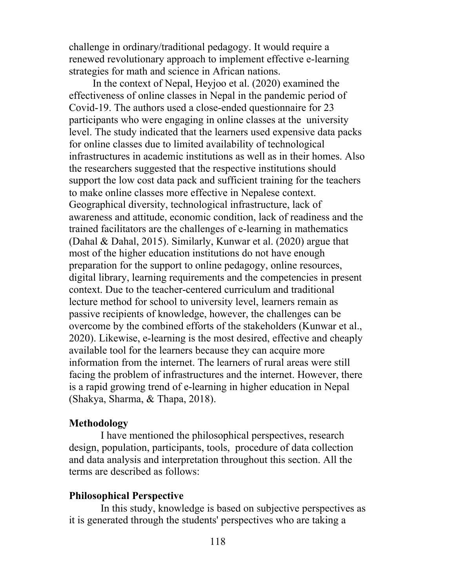challenge in ordinary/traditional pedagogy. It would require a renewed revolutionary approach to implement effective e-learning strategies for math and science in African nations.

In the context of Nepal, Heyjoo et al. (2020) examined the effectiveness of online classes in Nepal in the pandemic period of Covid-19. The authors used a close-ended questionnaire for 23 participants who were engaging in online classes at the university level. The study indicated that the learners used expensive data packs for online classes due to limited availability of technological infrastructures in academic institutions as well as in their homes. Also the researchers suggested that the respective institutions should support the low cost data pack and sufficient training for the teachers to make online classes more effective in Nepalese context. Geographical diversity, technological infrastructure, lack of awareness and attitude, economic condition, lack of readiness and the trained facilitators are the challenges of e-learning in mathematics (Dahal & Dahal, 2015). Similarly, Kunwar et al. (2020) argue that most of the higher education institutions do not have enough preparation for the support to online pedagogy, online resources, digital library, learning requirements and the competencies in present context. Due to the teacher-centered curriculum and traditional lecture method for school to university level, learners remain as passive recipients of knowledge, however, the challenges can be overcome by the combined efforts of the stakeholders (Kunwar et al., 2020). Likewise, e-learning is the most desired, effective and cheaply available tool for the learners because they can acquire more information from the internet. The learners of rural areas were still facing the problem of infrastructures and the internet. However, there is a rapid growing trend of e-learning in higher education in Nepal (Shakya, Sharma, & Thapa, 2018).

## **Methodology**

I have mentioned the philosophical perspectives, research design, population, participants, tools, procedure of data collection and data analysis and interpretation throughout this section. All the terms are described as follows:

## **Philosophical Perspective**

In this study, knowledge is based on subjective perspectives as it is generated through the students' perspectives who are taking a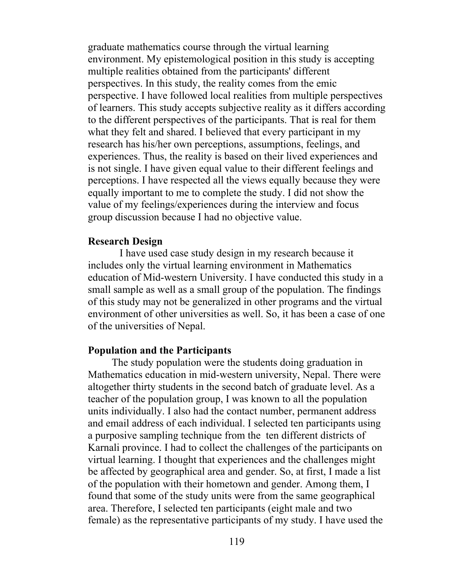graduate mathematics course through the virtual learning environment. My epistemological position in this study is accepting multiple realities obtained from the participants' different perspectives. In this study, the reality comes from the emic perspective. I have followed local realities from multiple perspectives of learners. This study accepts subjective reality as it differs according to the different perspectives of the participants. That is real for them what they felt and shared. I believed that every participant in my research has his/her own perceptions, assumptions, feelings, and experiences. Thus, the reality is based on their lived experiences and is not single. I have given equal value to their different feelings and perceptions. I have respected all the views equally because they were equally important to me to complete the study. I did not show the value of my feelings/experiences during the interview and focus group discussion because I had no objective value.

### **Research Design**

I have used case study design in my research because it includes only the virtual learning environment in Mathematics education of Mid-western University. I have conducted this study in a small sample as well as a small group of the population. The findings of this study may not be generalized in other programs and the virtual environment of other universities as well. So, it has been a case of one of the universities of Nepal.

### **Population and the Participants**

The study population were the students doing graduation in Mathematics education in mid-western university, Nepal. There were altogether thirty students in the second batch of graduate level. As a teacher of the population group, I was known to all the population units individually. I also had the contact number, permanent address and email address of each individual. I selected ten participants using a purposive sampling technique from the ten different districts of Karnali province. I had to collect the challenges of the participants on virtual learning. I thought that experiences and the challenges might be affected by geographical area and gender. So, at first, I made a list of the population with their hometown and gender. Among them, I found that some of the study units were from the same geographical area. Therefore, I selected ten participants (eight male and two female) as the representative participants of my study. I have used the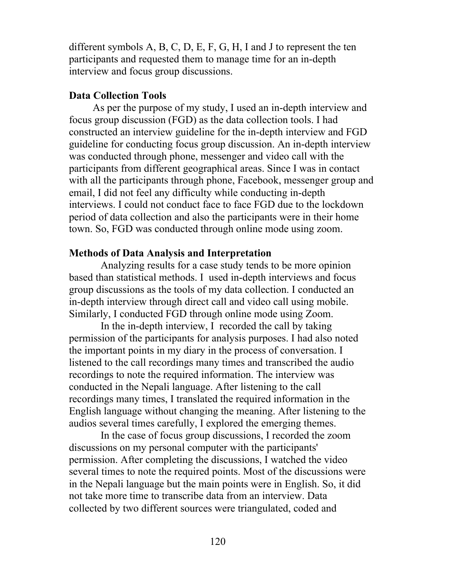different symbols A, B, C, D, E, F, G, H, I and J to represent the ten participants and requested them to manage time for an in-depth interview and focus group discussions.

### **Data Collection Tools**

As per the purpose of my study, I used an in-depth interview and focus group discussion (FGD) as the data collection tools. I had constructed an interview guideline for the in-depth interview and FGD guideline for conducting focus group discussion. An in-depth interview was conducted through phone, messenger and video call with the participants from different geographical areas. Since I was in contact with all the participants through phone, Facebook, messenger group and email, I did not feel any difficulty while conducting in-depth interviews. I could not conduct face to face FGD due to the lockdown period of data collection and also the participants were in their home town. So, FGD was conducted through online mode using zoom.

### **Methods of Data Analysis and Interpretation**

Analyzing results for a case study tends to be more opinion based than statistical methods. I used in-depth interviews and focus group discussions as the tools of my data collection. I conducted an in-depth interview through direct call and video call using mobile. Similarly, I conducted FGD through online mode using Zoom.

In the in-depth interview, I recorded the call by taking permission of the participants for analysis purposes. I had also noted the important points in my diary in the process of conversation. I listened to the call recordings many times and transcribed the audio recordings to note the required information. The interview was conducted in the Nepali language. After listening to the call recordings many times, I translated the required information in the English language without changing the meaning. After listening to the audios several times carefully, I explored the emerging themes.

In the case of focus group discussions, I recorded the zoom discussions on my personal computer with the participants' permission. After completing the discussions, I watched the video several times to note the required points. Most of the discussions were in the Nepali language but the main points were in English. So, it did not take more time to transcribe data from an interview. Data collected by two different sources were triangulated, coded and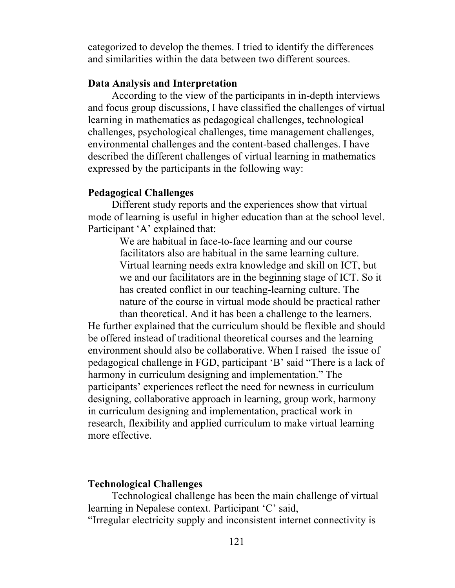categorized to develop the themes. I tried to identify the differences and similarities within the data between two different sources.

## **Data Analysis and Interpretation**

According to the view of the participants in in-depth interviews and focus group discussions, I have classified the challenges of virtual learning in mathematics as pedagogical challenges, technological challenges, psychological challenges, time management challenges, environmental challenges and the content-based challenges. I have described the different challenges of virtual learning in mathematics expressed by the participants in the following way:

### **Pedagogical Challenges**

Different study reports and the experiences show that virtual mode of learning is useful in higher education than at the school level. Participant 'A' explained that:

> We are habitual in face-to-face learning and our course facilitators also are habitual in the same learning culture. Virtual learning needs extra knowledge and skill on ICT, but we and our facilitators are in the beginning stage of ICT. So it has created conflict in our teaching-learning culture. The nature of the course in virtual mode should be practical rather than theoretical. And it has been a challenge to the learners.

He further explained that the curriculum should be flexible and should be offered instead of traditional theoretical courses and the learning environment should also be collaborative. When I raised the issue of pedagogical challenge in FGD, participant 'B' said "There is a lack of harmony in curriculum designing and implementation." The participants' experiences reflect the need for newness in curriculum designing, collaborative approach in learning, group work, harmony in curriculum designing and implementation, practical work in research, flexibility and applied curriculum to make virtual learning more effective.

### **Technological Challenges**

Technological challenge has been the main challenge of virtual learning in Nepalese context. Participant 'C' said, "Irregular electricity supply and inconsistent internet connectivity is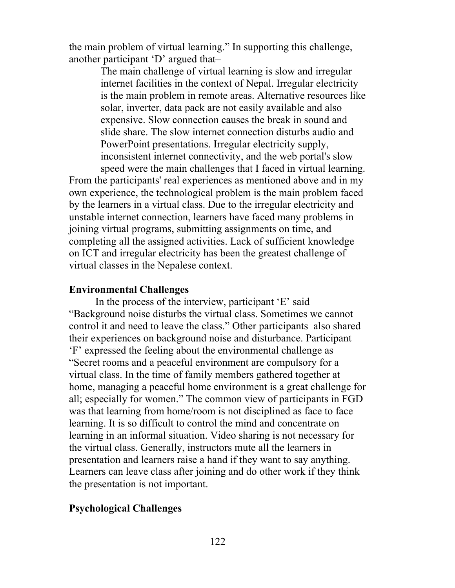the main problem of virtual learning." In supporting this challenge, another participant 'D' argued that–

> The main challenge of virtual learning is slow and irregular internet facilities in the context of Nepal. Irregular electricity is the main problem in remote areas. Alternative resources like solar, inverter, data pack are not easily available and also expensive. Slow connection causes the break in sound and slide share. The slow internet connection disturbs audio and PowerPoint presentations. Irregular electricity supply, inconsistent internet connectivity, and the web portal's slow speed were the main challenges that I faced in virtual learning.

From the participants' real experiences as mentioned above and in my own experience, the technological problem is the main problem faced by the learners in a virtual class. Due to the irregular electricity and unstable internet connection, learners have faced many problems in joining virtual programs, submitting assignments on time, and completing all the assigned activities. Lack of sufficient knowledge on ICT and irregular electricity has been the greatest challenge of virtual classes in the Nepalese context.

#### **Environmental Challenges**

In the process of the interview, participant 'E' said "Background noise disturbs the virtual class. Sometimes we cannot control it and need to leave the class." Other participants also shared their experiences on background noise and disturbance. Participant 'F' expressed the feeling about the environmental challenge as "Secret rooms and a peaceful environment are compulsory for a virtual class. In the time of family members gathered together at home, managing a peaceful home environment is a great challenge for all; especially for women." The common view of participants in FGD was that learning from home/room is not disciplined as face to face learning. It is so difficult to control the mind and concentrate on learning in an informal situation. Video sharing is not necessary for the virtual class. Generally, instructors mute all the learners in presentation and learners raise a hand if they want to say anything. Learners can leave class after joining and do other work if they think the presentation is not important.

#### **Psychological Challenges**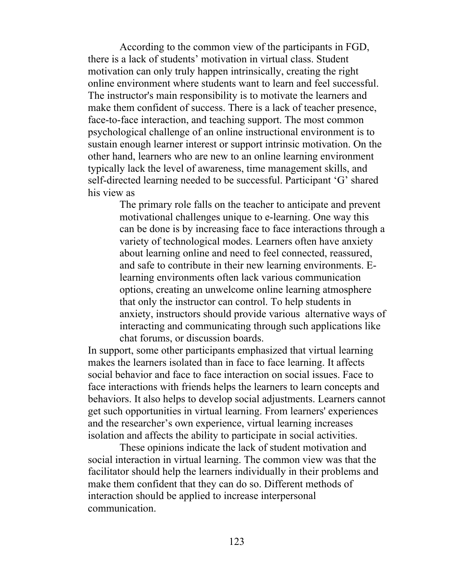According to the common view of the participants in FGD, there is a lack of students' motivation in virtual class. Student motivation can only truly happen intrinsically, creating the right online environment where students want to learn and feel successful. The instructor's main responsibility is to motivate the learners and make them confident of success. There is a lack of teacher presence, face-to-face interaction, and teaching support. The most common psychological challenge of an online instructional environment is to sustain enough learner interest or support intrinsic motivation. On the other hand, learners who are new to an online learning environment typically lack the level of awareness, time management skills, and self-directed learning needed to be successful. Participant 'G' shared his view as

> The primary role falls on the teacher to anticipate and prevent motivational challenges unique to e-learning. One way this can be done is by increasing face to face interactions through a variety of technological modes. Learners often have anxiety about learning online and need to feel connected, reassured, and safe to contribute in their new learning environments. Elearning environments often lack various communication options, creating an unwelcome online learning atmosphere that only the instructor can control. To help students in anxiety, instructors should provide various alternative ways of interacting and communicating through such applications like chat forums, or discussion boards.

In support, some other participants emphasized that virtual learning makes the learners isolated than in face to face learning. It affects social behavior and face to face interaction on social issues. Face to face interactions with friends helps the learners to learn concepts and behaviors. It also helps to develop social adjustments. Learners cannot get such opportunities in virtual learning. From learners' experiences and the researcher's own experience, virtual learning increases isolation and affects the ability to participate in social activities.

These opinions indicate the lack of student motivation and social interaction in virtual learning. The common view was that the facilitator should help the learners individually in their problems and make them confident that they can do so. Different methods of interaction should be applied to increase interpersonal communication.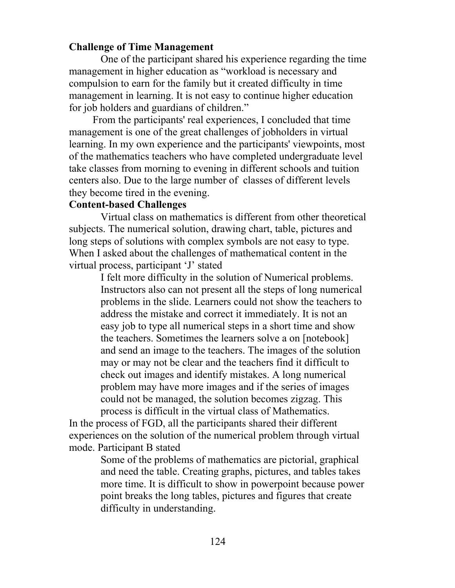## **Challenge of Time Management**

One of the participant shared his experience regarding the time management in higher education as "workload is necessary and compulsion to earn for the family but it created difficulty in time management in learning. It is not easy to continue higher education for job holders and guardians of children."

From the participants' real experiences, I concluded that time management is one of the great challenges of jobholders in virtual learning. In my own experience and the participants' viewpoints, most of the mathematics teachers who have completed undergraduate level take classes from morning to evening in different schools and tuition centers also. Due to the large number of classes of different levels they become tired in the evening.

### **Content-based Challenges**

Virtual class on mathematics is different from other theoretical subjects. The numerical solution, drawing chart, table, pictures and long steps of solutions with complex symbols are not easy to type. When I asked about the challenges of mathematical content in the virtual process, participant 'J' stated

> I felt more difficulty in the solution of Numerical problems. Instructors also can not present all the steps of long numerical problems in the slide. Learners could not show the teachers to address the mistake and correct it immediately. It is not an easy job to type all numerical steps in a short time and show the teachers. Sometimes the learners solve a on [notebook] and send an image to the teachers. The images of the solution may or may not be clear and the teachers find it difficult to check out images and identify mistakes. A long numerical problem may have more images and if the series of images could not be managed, the solution becomes zigzag. This process is difficult in the virtual class of Mathematics.

In the process of FGD, all the participants shared their different experiences on the solution of the numerical problem through virtual mode. Participant B stated

> Some of the problems of mathematics are pictorial, graphical and need the table. Creating graphs, pictures, and tables takes more time. It is difficult to show in powerpoint because power point breaks the long tables, pictures and figures that create difficulty in understanding.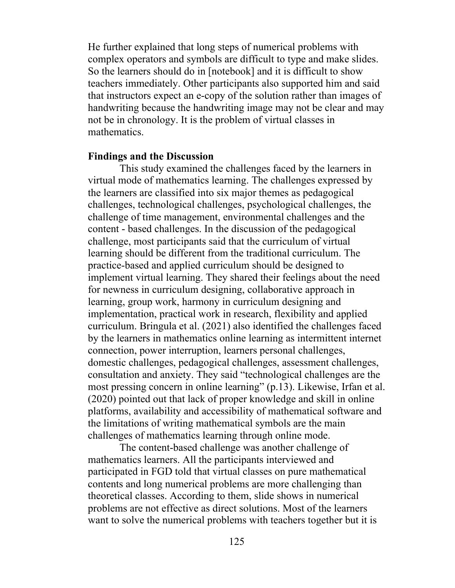He further explained that long steps of numerical problems with complex operators and symbols are difficult to type and make slides. So the learners should do in [notebook] and it is difficult to show teachers immediately. Other participants also supported him and said that instructors expect an e-copy of the solution rather than images of handwriting because the handwriting image may not be clear and may not be in chronology. It is the problem of virtual classes in mathematics.

#### **Findings and the Discussion**

This study examined the challenges faced by the learners in virtual mode of mathematics learning. The challenges expressed by the learners are classified into six major themes as pedagogical challenges, technological challenges, psychological challenges, the challenge of time management, environmental challenges and the content - based challenges. In the discussion of the pedagogical challenge, most participants said that the curriculum of virtual learning should be different from the traditional curriculum. The practice-based and applied curriculum should be designed to implement virtual learning. They shared their feelings about the need for newness in curriculum designing, collaborative approach in learning, group work, harmony in curriculum designing and implementation, practical work in research, flexibility and applied curriculum. Bringula et al. (2021) also identified the challenges faced by the learners in mathematics online learning as intermittent internet connection, power interruption, learners personal challenges, domestic challenges, pedagogical challenges, assessment challenges, consultation and anxiety. They said "technological challenges are the most pressing concern in online learning" (p.13). Likewise, Irfan et al. (2020) pointed out that lack of proper knowledge and skill in online platforms, availability and accessibility of mathematical software and the limitations of writing mathematical symbols are the main challenges of mathematics learning through online mode.

The content-based challenge was another challenge of mathematics learners. All the participants interviewed and participated in FGD told that virtual classes on pure mathematical contents and long numerical problems are more challenging than theoretical classes. According to them, slide shows in numerical problems are not effective as direct solutions. Most of the learners want to solve the numerical problems with teachers together but it is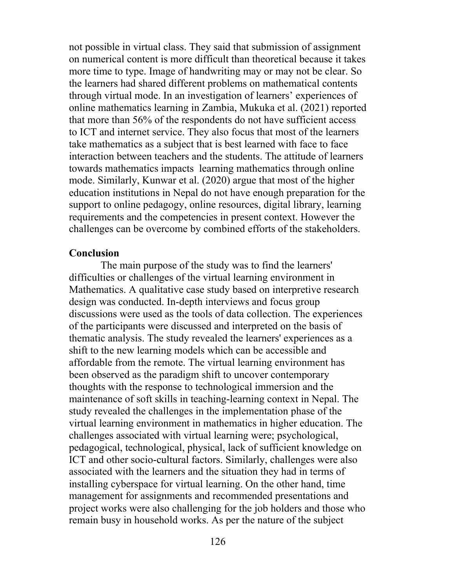not possible in virtual class. They said that submission of assignment on numerical content is more difficult than theoretical because it takes more time to type. Image of handwriting may or may not be clear. So the learners had shared different problems on mathematical contents through virtual mode. In an investigation of learners' experiences of online mathematics learning in Zambia, Mukuka et al. (2021) reported that more than 56% of the respondents do not have sufficient access to ICT and internet service. They also focus that most of the learners take mathematics as a subject that is best learned with face to face interaction between teachers and the students. The attitude of learners towards mathematics impacts learning mathematics through online mode. Similarly, Kunwar et al. (2020) argue that most of the higher education institutions in Nepal do not have enough preparation for the support to online pedagogy, online resources, digital library, learning requirements and the competencies in present context. However the challenges can be overcome by combined efforts of the stakeholders.

#### **Conclusion**

The main purpose of the study was to find the learners' difficulties or challenges of the virtual learning environment in Mathematics. A qualitative case study based on interpretive research design was conducted. In-depth interviews and focus group discussions were used as the tools of data collection. The experiences of the participants were discussed and interpreted on the basis of thematic analysis. The study revealed the learners' experiences as a shift to the new learning models which can be accessible and affordable from the remote. The virtual learning environment has been observed as the paradigm shift to uncover contemporary thoughts with the response to technological immersion and the maintenance of soft skills in teaching-learning context in Nepal. The study revealed the challenges in the implementation phase of the virtual learning environment in mathematics in higher education. The challenges associated with virtual learning were; psychological, pedagogical, technological, physical, lack of sufficient knowledge on ICT and other socio-cultural factors. Similarly, challenges were also associated with the learners and the situation they had in terms of installing cyberspace for virtual learning. On the other hand, time management for assignments and recommended presentations and project works were also challenging for the job holders and those who remain busy in household works. As per the nature of the subject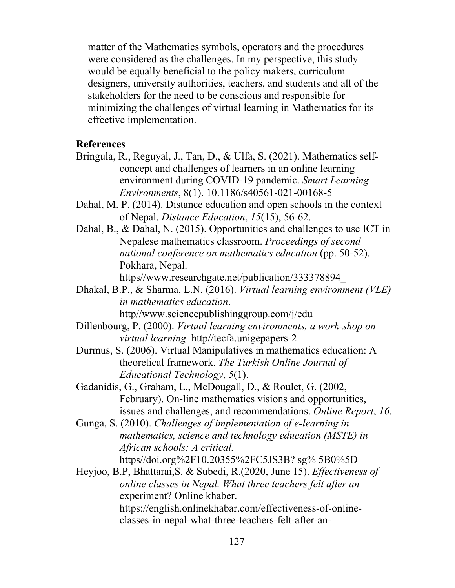matter of the Mathematics symbols, operators and the procedures were considered as the challenges. In my perspective, this study would be equally beneficial to the policy makers, curriculum designers, university authorities, teachers, and students and all of the stakeholders for the need to be conscious and responsible for minimizing the challenges of virtual learning in Mathematics for its effective implementation.

## **References**

- Bringula, R., Reguyal, J., Tan, D., & Ulfa, S. (2021). Mathematics selfconcept and challenges of learners in an online learning environment during COVID-19 pandemic. *Smart Learning Environments*, 8(1). 10.1186/s40561-021-00168-5
- Dahal, M. P. (2014). Distance education and open schools in the context of Nepal. *Distance Education*, *15*(15), 56-62.
- Dahal, B., & Dahal, N. (2015). Opportunities and challenges to use ICT in Nepalese mathematics classroom. *Proceedings of second national conference on mathematics education* (pp. 50-52). Pokhara, Nepal.

https//www.researchgate.net/publication/333378894\_

- Dhakal, B.P., & Sharma, L.N. (2016). *Virtual learning environment (VLE) in mathematics education*. http//www.sciencepublishinggroup.com/j/edu
- Dillenbourg, P. (2000). *Virtual learning environments, a work-shop on virtual learning.* http//tecfa.unigepapers-2
- Durmus, S. (2006). Virtual Manipulatives in mathematics education: A theoretical framework. *The Turkish Online Journal of Educational Technology*, *5*(1).
- Gadanidis, G., Graham, L., McDougall, D., & Roulet, G. (2002, February). On-line mathematics visions and opportunities, issues and challenges, and recommendations. *Online Report*, *16*.
- Gunga, S. (2010). *Challenges of implementation of e-learning in mathematics, science and technology education (MSTE) in African schools: A critical.* https//doi.org%2F10.20355%2FC5JS3B? sg% 5B0%5D
- Heyjoo, B.P, Bhattarai,S. & Subedi, R.(2020, June 15). *Effectiveness of online classes in Nepal. What three teachers felt after an*  experiment? Online khaber. https://english.onlinekhabar.com/effectiveness-of-onlineclasses-in-nepal-what-three-teachers-felt-after-an-